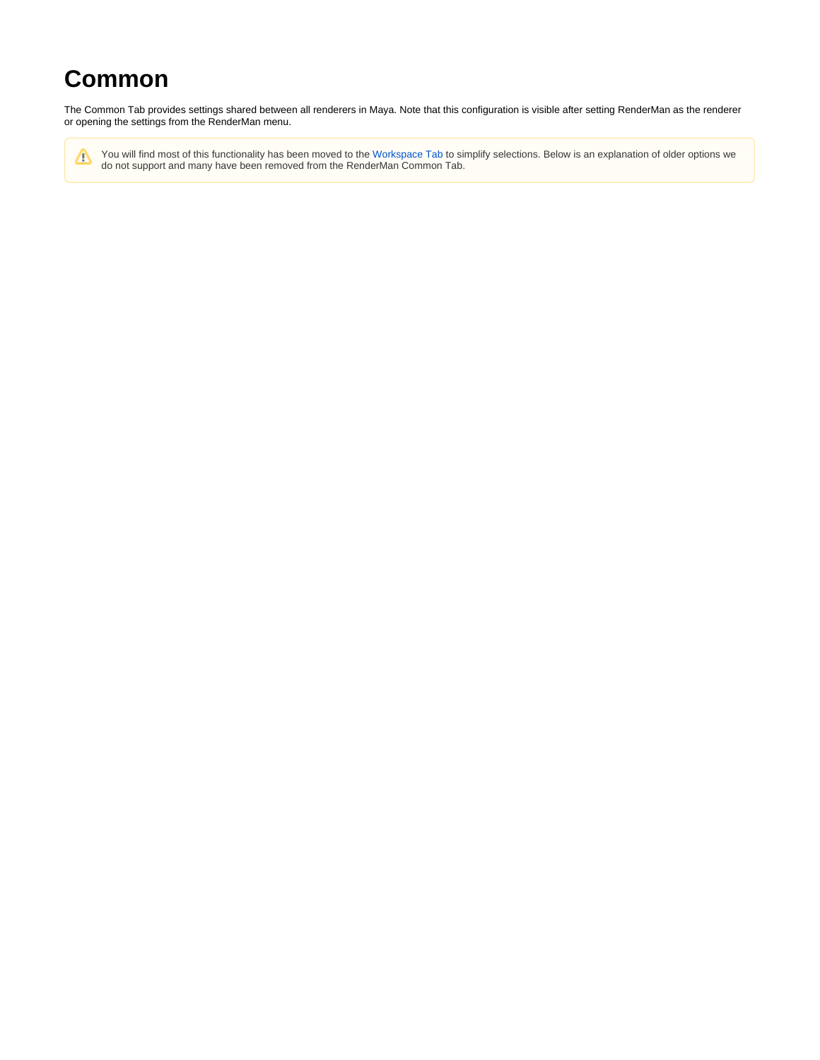# **Common**

The Common Tab provides settings shared between all renderers in Maya. Note that this configuration is visible after setting RenderMan as the renderer or opening the settings from the RenderMan menu.

You will find most of this functionality has been moved to the [Workspace Tab](https://rmanwiki.pixar.com/display/RFM24/Workspace) to simplify selections. Below is an explanation of older options we Δ do not support and many have been removed from the RenderMan Common Tab.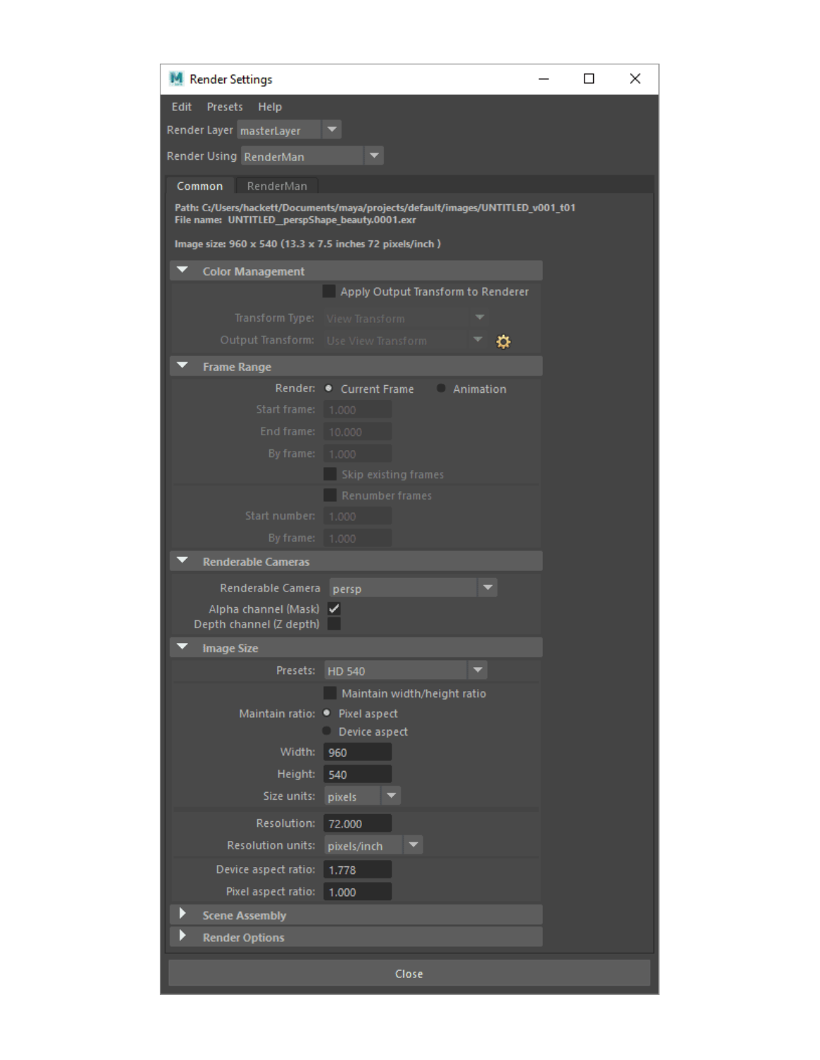| M Render Settings                                                                                                                                                                                                    |                                                                      |                    |   |  | П | × |  |
|----------------------------------------------------------------------------------------------------------------------------------------------------------------------------------------------------------------------|----------------------------------------------------------------------|--------------------|---|--|---|---|--|
| <b>Edit</b><br><b>Presets</b><br>Help<br>Render Layer masterLayer<br>Render Using RenderMan                                                                                                                          |                                                                      |                    |   |  |   |   |  |
| RenderMan<br>Common<br>Path: C:/Users/hackett/Documents/maya/projects/default/images/UNTITLED_v001_t01<br>File name: UNTITLED_perspShape_beauty.0001.exr<br>Image size: 960 x 540 (13.3 x 7.5 inches 72 pixels/inch) |                                                                      |                    |   |  |   |   |  |
| <b>Color Management</b>                                                                                                                                                                                              |                                                                      |                    |   |  |   |   |  |
|                                                                                                                                                                                                                      | Apply Output Transform to Renderer                                   |                    |   |  |   |   |  |
| Transform Type: View Transform                                                                                                                                                                                       |                                                                      |                    |   |  |   |   |  |
| Output Transform: Use View Transform                                                                                                                                                                                 |                                                                      |                    | o |  |   |   |  |
| <b>Frame Range</b>                                                                                                                                                                                                   |                                                                      |                    |   |  |   |   |  |
| Render: -<br><b>Start frame:</b><br>End frame:                                                                                                                                                                       | Current Frame<br>1.000<br>10,000                                     | <b>C</b> Animation |   |  |   |   |  |
| By frame: 1.000                                                                                                                                                                                                      | Skip existing frames                                                 |                    |   |  |   |   |  |
| Start number:                                                                                                                                                                                                        | Renumber frames<br>1.000                                             |                    |   |  |   |   |  |
| By frame:<br><b>Renderable Cameras</b>                                                                                                                                                                               | 1.000                                                                |                    |   |  |   |   |  |
| Renderable Camera                                                                                                                                                                                                    |                                                                      |                    |   |  |   |   |  |
| Alpha channel (Mask) √<br>Depth channel (Z depth)                                                                                                                                                                    | persp                                                                |                    |   |  |   |   |  |
| <b>Image Size</b>                                                                                                                                                                                                    |                                                                      |                    |   |  |   |   |  |
| Presets: HD 540                                                                                                                                                                                                      |                                                                      |                    |   |  |   |   |  |
| Maintain ratio: • Pixel aspect<br>Width:<br>Height:<br>Size units:                                                                                                                                                   | Maintain width/height ratio<br>Device aspect<br>960<br>540<br>pixels |                    |   |  |   |   |  |
| Resolution:                                                                                                                                                                                                          | 72,000                                                               |                    |   |  |   |   |  |
| <b>Resolution units:</b>                                                                                                                                                                                             | pixels/inch                                                          |                    |   |  |   |   |  |
| Device aspect ratio:                                                                                                                                                                                                 | 1.778                                                                |                    |   |  |   |   |  |
| Pixel aspect ratio:                                                                                                                                                                                                  | 1.000                                                                |                    |   |  |   |   |  |
| ▶<br><b>Scene Assembly</b>                                                                                                                                                                                           |                                                                      |                    |   |  |   |   |  |
| <b>Render Options</b>                                                                                                                                                                                                |                                                                      |                    |   |  |   |   |  |
|                                                                                                                                                                                                                      | Close                                                                |                    |   |  |   |   |  |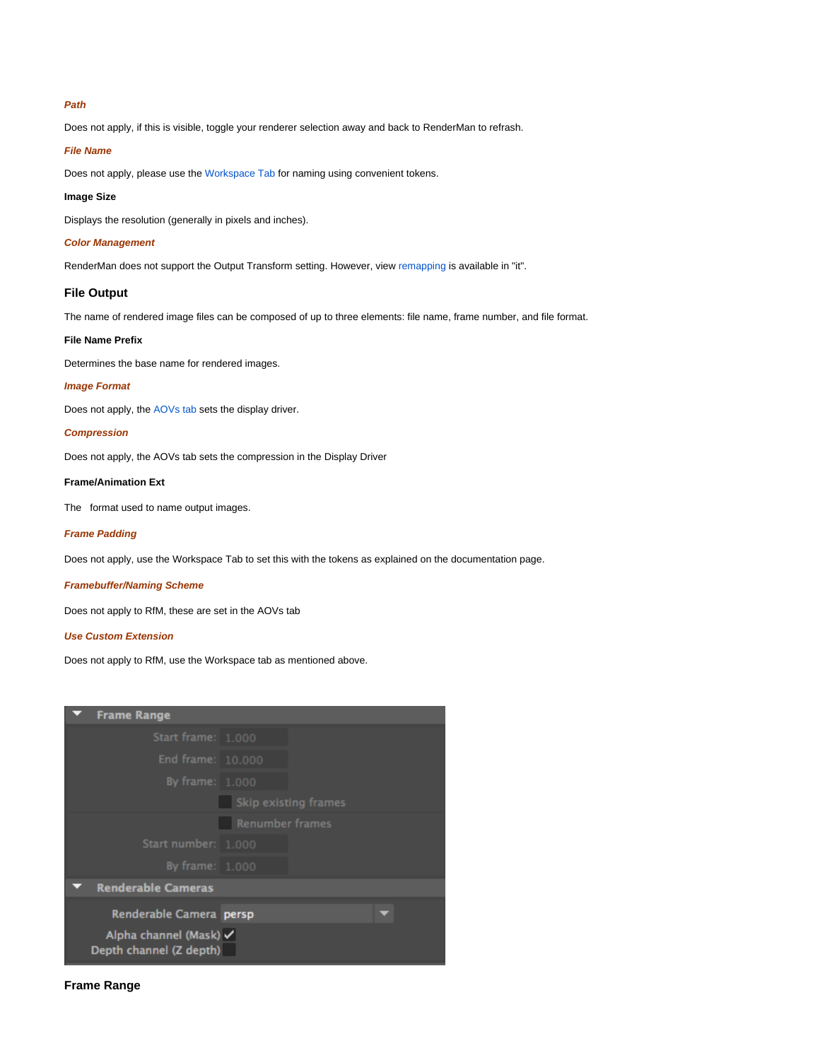## **Path**

Does not apply, if this is visible, toggle your renderer selection away and back to RenderMan to refrash.

#### **File Name**

Does not apply, please use the [Workspace Tab](https://rmanwiki.pixar.com/display/RFM24/Workspace) for naming using convenient tokens.

## **Image Size**

Displays the resolution (generally in pixels and inches).

#### **Color Management**

RenderMan does not support the Output Transform setting. However, view [remapping](https://rmanwiki.pixar.com/display/REN/Image+Tool) is available in "it".

## **File Output**

The name of rendered image files can be composed of up to three elements: file name, frame number, and file format.

## **File Name Prefix**

Determines the base name for rendered images.

## **Image Format**

Does not apply, the [AOVs tab](https://rmanwiki.pixar.com/display/RFM24/AOVs) sets the display driver.

## **Compression**

Does not apply, the AOVs tab sets the compression in the Display Driver

## **Frame/Animation Ext**

The format used to name output images.

#### **Frame Padding**

Does not apply, use the Workspace Tab to set this with the tokens as explained on the documentation page.

## **Framebuffer/Naming Scheme**

Does not apply to RfM, these are set in the AOVs tab

## **Use Custom Extension**

Does not apply to RfM, use the Workspace tab as mentioned above.

| <b>Frame Range</b>                                |                      |  |  |  |
|---------------------------------------------------|----------------------|--|--|--|
| Start frame: 1.000                                |                      |  |  |  |
| End frame: 10.000                                 |                      |  |  |  |
| By frame: 1.000                                   |                      |  |  |  |
|                                                   | Skip existing frames |  |  |  |
|                                                   | Renumber frames      |  |  |  |
| Start number: 1.000                               |                      |  |  |  |
| By frame: 1.000                                   |                      |  |  |  |
| <b>Renderable Cameras</b>                         |                      |  |  |  |
| Renderable Camera persp                           |                      |  |  |  |
| Alpha channel (Mask) V<br>Depth channel (Z depth) |                      |  |  |  |

## **Frame Range**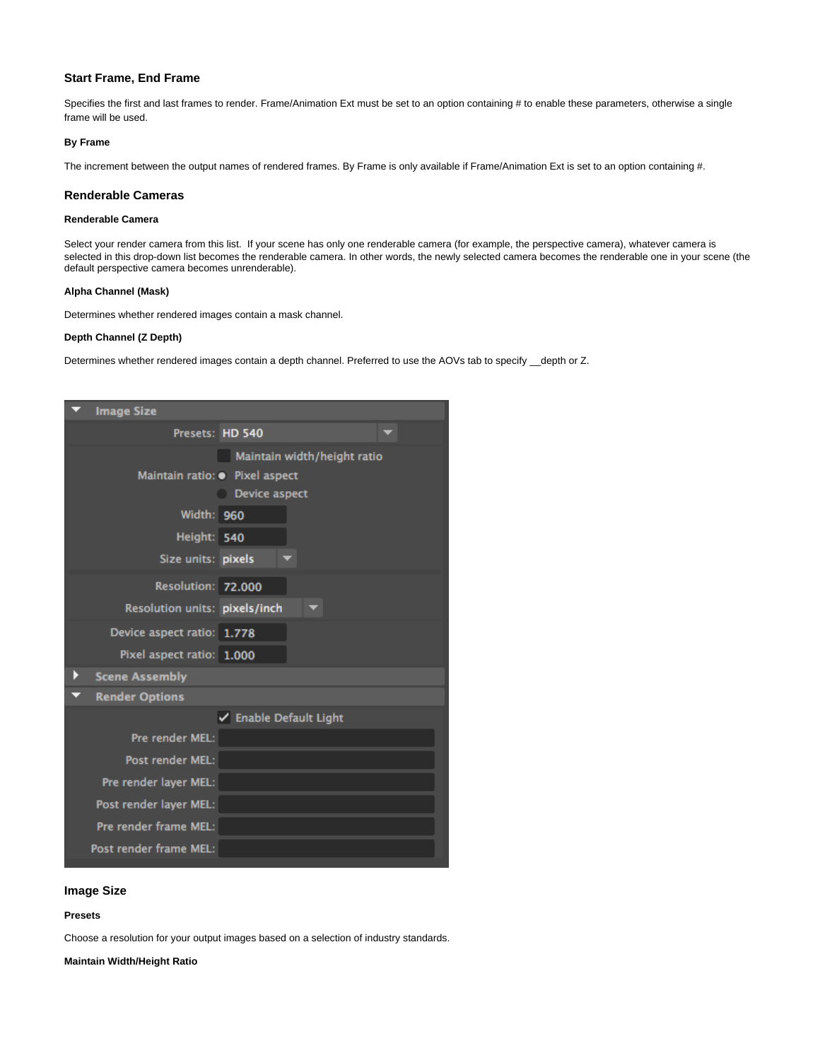## **Start Frame, End Frame**

Specifies the first and last frames to render. Frame/Animation Ext must be set to an option containing # to enable these parameters, otherwise a single frame will be used.

#### **By Frame**

The increment between the output names of rendered frames. By Frame is only available if Frame/Animation Ext is set to an option containing #.

#### **Renderable Cameras**

## **Renderable Camera**

Select your render camera from this list. If your scene has only one renderable camera (for example, the perspective camera), whatever camera is selected in this drop-down list becomes the renderable camera. In other words, the newly selected camera becomes the renderable one in your scene (the default perspective camera becomes unrenderable).

#### **Alpha Channel (Mask)**

Determines whether rendered images contain a mask channel.

## **Depth Channel (Z Depth)**

Determines whether rendered images contain a depth channel. Preferred to use the AOVs tab to specify \_depth or Z.

|   | <b>Image Size</b>              |                             |
|---|--------------------------------|-----------------------------|
|   | Presets: HD 540                |                             |
|   |                                | Maintain width/height ratio |
|   | Maintain ratio: · Pixel aspect |                             |
|   |                                | <b>Device aspect</b>        |
|   | <b>Width: 960</b>              |                             |
|   | Height: 540                    |                             |
|   | Size units: pixels             |                             |
|   | Resolution: 72.000             |                             |
|   | Resolution units: pixels/inch  |                             |
|   | Device aspect ratio: 1.778     |                             |
|   | Pixel aspect ratio: 1.000      |                             |
| Þ | <b>Scene Assembly</b>          |                             |
|   | <b>Render Options</b>          |                             |
|   |                                | ✔ Enable Default Light      |
|   | Pre render MEL:                |                             |
|   | Post render MEL:               |                             |
|   | Pre render layer MEL:          |                             |
|   | Post render layer MEL:         |                             |
|   | Pre render frame MEL:          |                             |
|   | Post render frame MEL:         |                             |

## **Image Size**

## **Presets**

Choose a resolution for your output images based on a selection of industry standards.

**Maintain Width/Height Ratio**